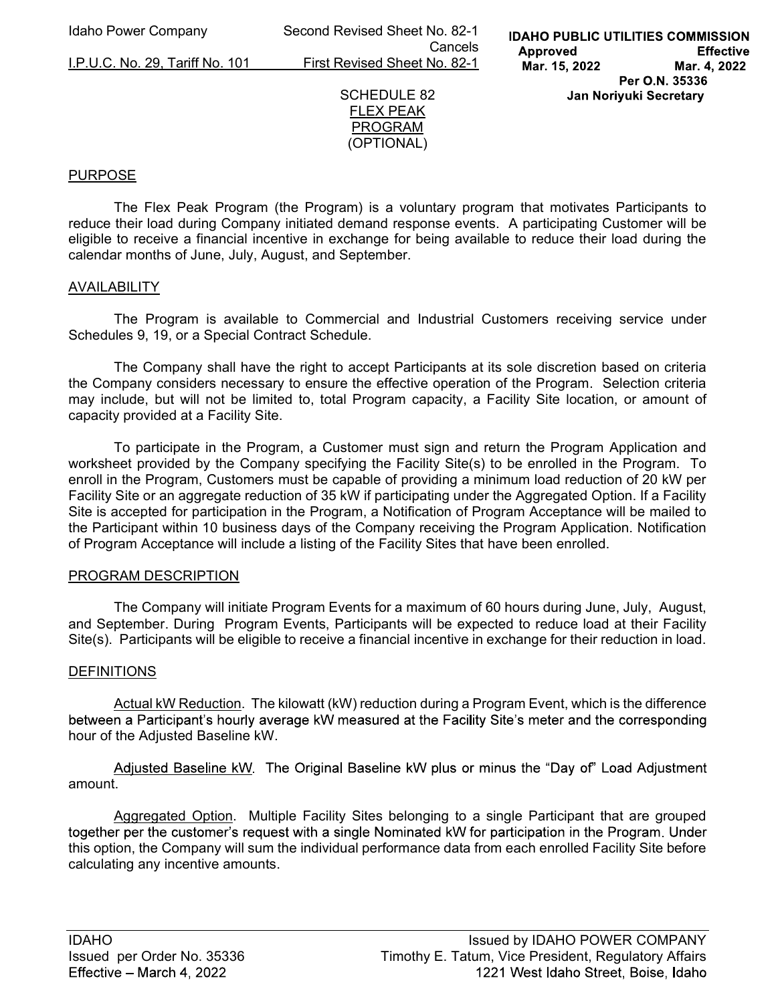Idaho Power Company Second Revised Sheet No. 82-1 **Cancels Cancels** I.P.U.C. No. 29, Tariff No. 101 First Revised Sheet No. 82-1



## PURPOSE

The Flex Peak Program (the Program) is a voluntary program that motivates Participants to reduce their load during Company initiated demand response events. A participating Customer will be eligible to receive a financial incentive in exchange for being available to reduce their load during the calendar months of June, July, August, and September.

## AVAILABILITY

 The Program is available to Commercial and Industrial Customers receiving service under Schedules 9, 19, or a Special Contract Schedule.

The Company shall have the right to accept Participants at its sole discretion based on criteria the Company considers necessary to ensure the effective operation of the Program. Selection criteria may include, but will not be limited to, total Program capacity, a Facility Site location, or amount of capacity provided at a Facility Site.

 To participate in the Program, a Customer must sign and return the Program Application and worksheet provided by the Company specifying the Facility Site(s) to be enrolled in the Program. To enroll in the Program, Customers must be capable of providing a minimum load reduction of 20 kW per Facility Site or an aggregate reduction of 35 kW if participating under the Aggregated Option. If a Facility Site is accepted for participation in the Program, a Notification of Program Acceptance will be mailed to the Participant within 10 business days of the Company receiving the Program Application. Notification of Program Acceptance will include a listing of the Facility Sites that have been enrolled.

#### PROGRAM DESCRIPTION

 The Company will initiate Program Events for a maximum of 60 hours during June, July, August, and September. During Program Events, Participants will be expected to reduce load at their Facility Site(s). Participants will be eligible to receive a financial incentive in exchange for their reduction in load.

## **DEFINITIONS**

Actual kW Reduction. The kilowatt (kW) reduction during a Program Event, which is the difference between a Participant's hourly average kW measured at the Facility Site's meter and the corresponding hour of the Adjusted Baseline kW.

Adjusted Baseline kW. The Original Baseline kW plus or minus the "Day of" Load Adjustment amount.

 Aggregated Option. Multiple Facility Sites belonging to a single Participant that are grouped together per the customer's request with a single Nominated kW for participation in the Program. Under this option, the Company will sum the individual performance data from each enrolled Facility Site before calculating any incentive amounts.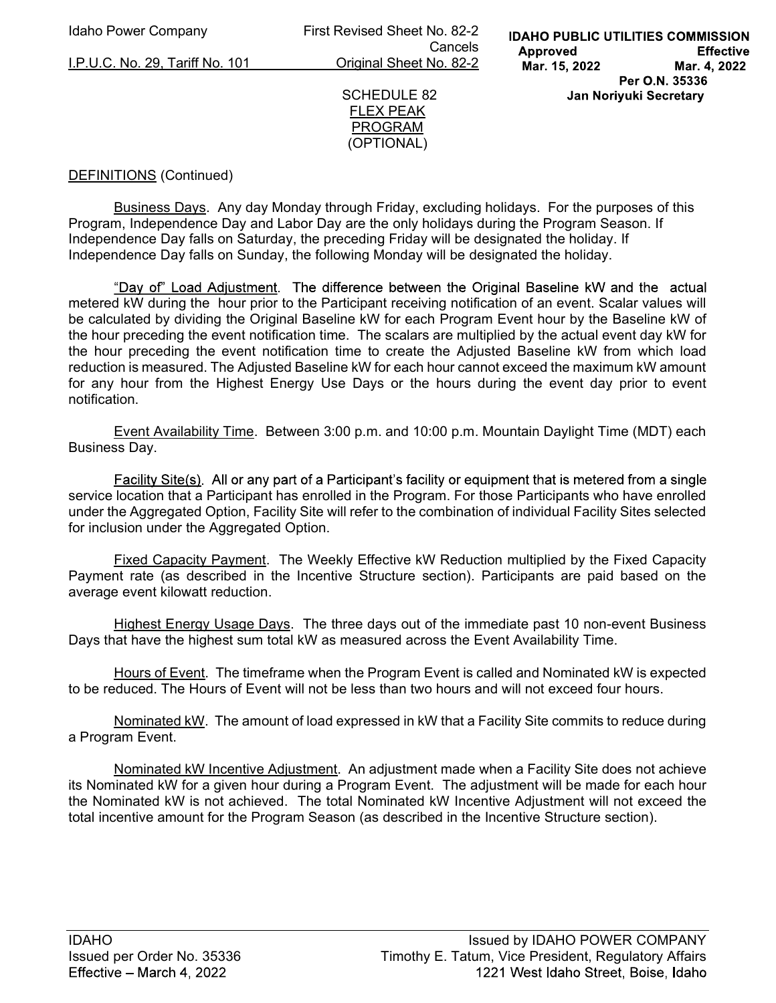I.P.U.C. No. 29, Tariff No. 101 Original Sheet No. 82-2

Idaho Power Company First Revised Sheet No. 82-2 Cancels



# DEFINITIONS (Continued)

Business Days. Any day Monday through Friday, excluding holidays. For the purposes of this Program, Independence Day and Labor Day are the only holidays during the Program Season. If Independence Day falls on Saturday, the preceding Friday will be designated the holiday. If Independence Day falls on Sunday, the following Monday will be designated the holiday.

"Day of" Load Adjustment. The difference between the Original Baseline kW and the actual metered kW during the hour prior to the Participant receiving notification of an event. Scalar values will be calculated by dividing the Original Baseline kW for each Program Event hour by the Baseline kW of the hour preceding the event notification time. The scalars are multiplied by the actual event day kW for the hour preceding the event notification time to create the Adjusted Baseline kW from which load reduction is measured. The Adjusted Baseline kW for each hour cannot exceed the maximum kW amount for any hour from the Highest Energy Use Days or the hours during the event day prior to event notification.

Event Availability Time. Between 3:00 p.m. and 10:00 p.m. Mountain Daylight Time (MDT) each Business Day.

Facility Site(s). All or any part of a Participant's facility or equipment that is metered from a single service location that a Participant has enrolled in the Program. For those Participants who have enrolled under the Aggregated Option, Facility Site will refer to the combination of individual Facility Sites selected for inclusion under the Aggregated Option.

Fixed Capacity Payment. The Weekly Effective kW Reduction multiplied by the Fixed Capacity Payment rate (as described in the Incentive Structure section). Participants are paid based on the average event kilowatt reduction.

Highest Energy Usage Days. The three days out of the immediate past 10 non-event Business Days that have the highest sum total kW as measured across the Event Availability Time.

Hours of Event. The timeframe when the Program Event is called and Nominated kW is expected to be reduced. The Hours of Event will not be less than two hours and will not exceed four hours.

Nominated kW. The amount of load expressed in kW that a Facility Site commits to reduce during a Program Event.

Nominated kW Incentive Adjustment. An adjustment made when a Facility Site does not achieve its Nominated kW for a given hour during a Program Event. The adjustment will be made for each hour the Nominated kW is not achieved. The total Nominated kW Incentive Adjustment will not exceed the total incentive amount for the Program Season (as described in the Incentive Structure section).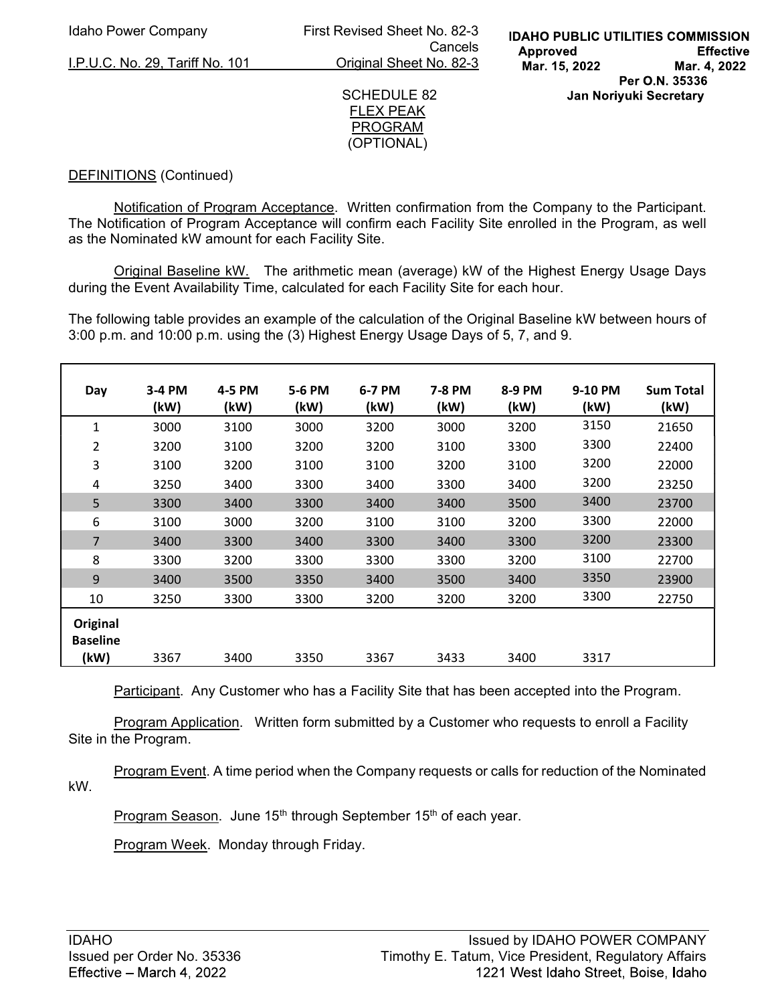Idaho Power Company First Revised Sheet No. 82-3 **Cancels Cancels** I.P.U.C. No. 29, Tariff No. 101 Original Sheet No. 82-3

#### SCHEDULE 82 FLEX PEAK PROGRAM (OPTIONAL)

# DEFINITIONS (Continued)

Notification of Program Acceptance. Written confirmation from the Company to the Participant. The Notification of Program Acceptance will confirm each Facility Site enrolled in the Program, as well as the Nominated kW amount for each Facility Site.

Original Baseline kW. The arithmetic mean (average) kW of the Highest Energy Usage Days during the Event Availability Time, calculated for each Facility Site for each hour.

The following table provides an example of the calculation of the Original Baseline kW between hours of 3:00 p.m. and 10:00 p.m. using the (3) Highest Energy Usage Days of 5, 7, and 9.

| Day                                 | 3-4 PM<br>(kW) | 4-5 PM<br>(kW) | 5-6 PM<br>(kW) | 6-7 PM<br>(kW) | 7-8 PM<br>(kW) | 8-9 PM<br>(kW) | 9-10 PM<br>(kW) | <b>Sum Total</b><br>(kW) |
|-------------------------------------|----------------|----------------|----------------|----------------|----------------|----------------|-----------------|--------------------------|
| 1                                   | 3000           | 3100           | 3000           | 3200           | 3000           | 3200           | 3150            | 21650                    |
| 2                                   | 3200           | 3100           | 3200           | 3200           | 3100           | 3300           | 3300            | 22400                    |
| 3                                   | 3100           | 3200           | 3100           | 3100           | 3200           | 3100           | 3200            | 22000                    |
| 4                                   | 3250           | 3400           | 3300           | 3400           | 3300           | 3400           | 3200            | 23250                    |
| 5                                   | 3300           | 3400           | 3300           | 3400           | 3400           | 3500           | 3400            | 23700                    |
| 6                                   | 3100           | 3000           | 3200           | 3100           | 3100           | 3200           | 3300            | 22000                    |
| $\overline{7}$                      | 3400           | 3300           | 3400           | 3300           | 3400           | 3300           | 3200            | 23300                    |
| 8                                   | 3300           | 3200           | 3300           | 3300           | 3300           | 3200           | 3100            | 22700                    |
| 9                                   | 3400           | 3500           | 3350           | 3400           | 3500           | 3400           | 3350            | 23900                    |
| 10                                  | 3250           | 3300           | 3300           | 3200           | 3200           | 3200           | 3300            | 22750                    |
| Original<br><b>Baseline</b><br>(kW) | 3367           | 3400           | 3350           | 3367           | 3433           | 3400           | 3317            |                          |

Participant. Any Customer who has a Facility Site that has been accepted into the Program.

**Program Application.** Written form submitted by a Customer who requests to enroll a Facility Site in the Program.

Program Event. A time period when the Company requests or calls for reduction of the Nominated kW.

Program Season. June 15<sup>th</sup> through September 15<sup>th</sup> of each year.

Program Week. Monday through Friday.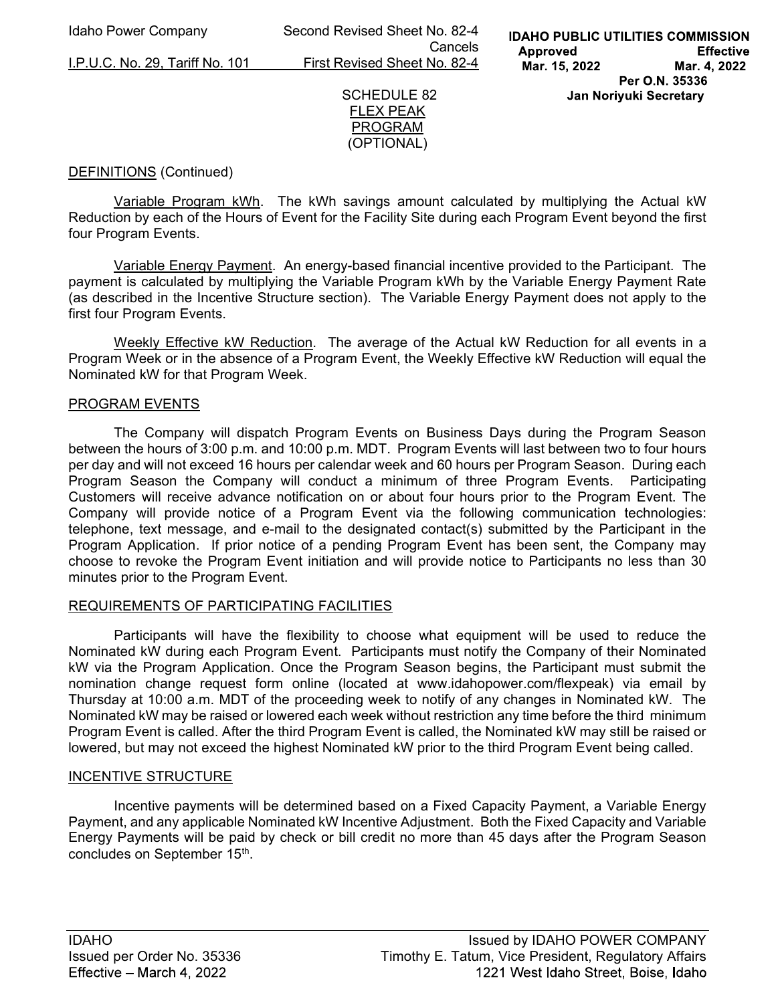Idaho Power Company Second Revised Sheet No. 82-4 Cancels I.P.U.C. No. 29, Tariff No. 101 First Revised Sheet No. 82-4



# DEFINITIONS (Continued)

 Variable Program kWh. The kWh savings amount calculated by multiplying the Actual kW Reduction by each of the Hours of Event for the Facility Site during each Program Event beyond the first four Program Events.

Variable Energy Payment. An energy-based financial incentive provided to the Participant. The payment is calculated by multiplying the Variable Program kWh by the Variable Energy Payment Rate (as described in the Incentive Structure section). The Variable Energy Payment does not apply to the first four Program Events.

Weekly Effective kW Reduction. The average of the Actual kW Reduction for all events in a Program Week or in the absence of a Program Event, the Weekly Effective kW Reduction will equal the Nominated kW for that Program Week.

#### PROGRAM EVENTS

 The Company will dispatch Program Events on Business Days during the Program Season between the hours of 3:00 p.m. and 10:00 p.m. MDT. Program Events will last between two to four hours per day and will not exceed 16 hours per calendar week and 60 hours per Program Season. During each Program Season the Company will conduct a minimum of three Program Events. Participating Customers will receive advance notification on or about four hours prior to the Program Event. The Company will provide notice of a Program Event via the following communication technologies: telephone, text message, and e-mail to the designated contact(s) submitted by the Participant in the Program Application. If prior notice of a pending Program Event has been sent, the Company may choose to revoke the Program Event initiation and will provide notice to Participants no less than 30 minutes prior to the Program Event.

## REQUIREMENTS OF PARTICIPATING FACILITIES

Participants will have the flexibility to choose what equipment will be used to reduce the Nominated kW during each Program Event. Participants must notify the Company of their Nominated kW via the Program Application. Once the Program Season begins, the Participant must submit the nomination change request form online (located at www.idahopower.com/flexpeak) via email by Thursday at 10:00 a.m. MDT of the proceeding week to notify of any changes in Nominated kW. The Nominated kW may be raised or lowered each week without restriction any time before the third minimum Program Event is called. After the third Program Event is called, the Nominated kW may still be raised or lowered, but may not exceed the highest Nominated kW prior to the third Program Event being called.

#### INCENTIVE STRUCTURE

 Incentive payments will be determined based on a Fixed Capacity Payment, a Variable Energy Payment, and any applicable Nominated kW Incentive Adjustment. Both the Fixed Capacity and Variable Energy Payments will be paid by check or bill credit no more than 45 days after the Program Season concludes on September 15<sup>th</sup>.